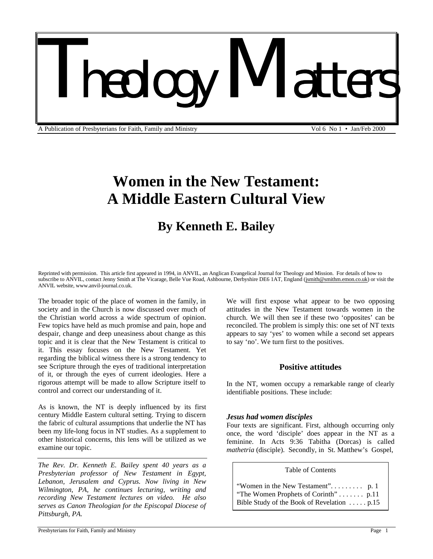# *Theology Matters*

A Publication of Presbyterians for Faith, Family and Ministry Vol 6 No 1 • Jan/Feb 2000

# **Women in the New Testament: A Middle Eastern Cultural View**

# **By Kenneth E. Bailey**

Reprinted with permission. This article first appeared in 1994, in ANVIL, an Anglican Evangelical Journal for Theology and Mission. For details of how to subscribe to ANVIL, contact Jenny Smith at The Vicarage, Belle Vue Road, Ashbourne, Derbyshire DE6 1AT, England (jsmith@smithm.emon.co.uk) or visit the ANVIL website, www.anvil-journal.co.uk.

The broader topic of the place of women in the family, in society and in the Church is now discussed over much of the Christian world across a wide spectrum of opinion. Few topics have held as much promise and pain, hope and despair, change and deep uneasiness about change as this topic and it is clear that the New Testament is critical to it. This essay focuses on the New Testament. Yet regarding the biblical witness there is a strong tendency to see Scripture through the eyes of traditional interpretation of it, or through the eyes of current ideologies. Here a rigorous attempt will be made to allow Scripture itself to control and correct our understanding of it.

As is known, the NT is deeply influenced by its first century Middle Eastern cultural setting. Trying to discern the fabric of cultural assumptions that underlie the NT has been my life-long focus in NT studies. As a supplement to other historical concerns, this lens will be utilized as we examine our topic.

*The Rev. Dr. Kenneth E. Bailey spent 40 years as a Presbyterian professor of New Testament in Egypt, Lebanon, Jerusalem and Cyprus. Now living in New Wilmington, PA, he continues lecturing, writing and recording New Testament lectures on video. He also serves as Canon Theologian for the Episcopal Diocese of Pittsburgh, PA.* 

We will first expose what appear to be two opposing attitudes in the New Testament towards women in the church. We will then see if these two 'opposites' can be reconciled. The problem is simply this: one set of NT texts appears to say 'yes' to women while a second set appears to say 'no'. We turn first to the positives.

### **Positive attitudes**

In the NT, women occupy a remarkable range of clearly identifiable positions. These include:

#### *Jesus had women disciples*

Four texts are significant. First, although occurring only once, the word 'disciple' does appear in the NT as a feminine. In Acts 9:36 Tabitha (Dorcas) is called *mathetria* (disciple). Secondly, in St. Matthew's Gospel,

#### Table of Contents

| "The Women Prophets of Corinth" p.11       |  |
|--------------------------------------------|--|
| Bible Study of the Book of Revelation p.15 |  |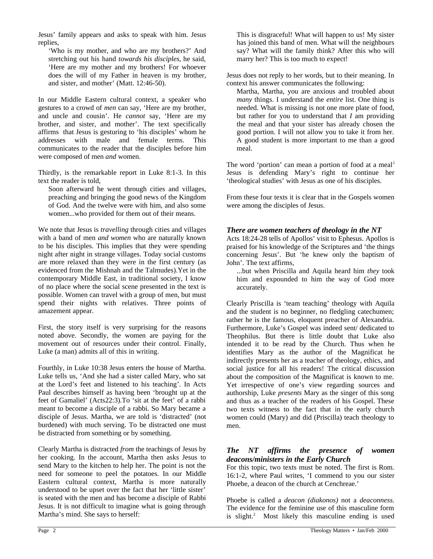Jesus' family appears and asks to speak with him. Jesus replies,

'Who is my mother, and who are my brothers?' And stretching out his hand *towards his disciples*, he said, 'Here are my mother and my brothers! For whoever does the will of my Father in heaven is my brother, and sister, and mother' (Matt. 12:46-50).

In our Middle Eastern cultural context, a speaker who gestures to a crowd of *men* can say, 'Here are my brother, and uncle and cousin'. He *cannot* say, 'Here are my brother, and sister, and mother'. The text specifically affirms that Jesus is gesturing to 'his disciples' whom he addresses with male and female terms. This communicates to the reader that the disciples before him were composed of men *and* women.

Thirdly, is the remarkable report in Luke 8:1-3. In this text the reader is told,

Soon afterward he went through cities and villages, preaching and bringing the good news of the Kingdom of God. And the twelve were with him, and also some women...who provided for them out of their means.

We note that Jesus is *travelling* through cities and villages with a band of men *and women* who are naturally known to be his disciples. This implies that they were spending night after night in strange villages. Today social customs are more relaxed than they were in the first century (as evidenced from the Mishnah and the Talmudes).Yet in the contemporary Middle East, in traditional society, I know of no place where the social scene presented in the text is possible. Women can travel with a group of men, but must spend their nights with relatives. Three points of amazement appear.

First, the story itself is very surprising for the reasons noted above. Secondly, the women are paying for the movement out of resources under their control. Finally, Luke (a man) admits all of this in writing.

Fourthly, in Luke 10:38 Jesus enters the house of Martha. Luke tells us, 'And she had a sister called Mary, who sat at the Lord's feet and listened to his teaching'. In Acts Paul describes himself as having been 'brought up at the feet of Gamaliel' (Acts22:3).To 'sit at the feet' of a rabbi meant to become a disciple of a rabbi. So Mary became a disciple of Jesus. Martha, we are told is 'distracted' (not burdened) with much serving. To be distracted one must be distracted from something or by something.

Clearly Martha is distracted *from* the teachings of Jesus by her cooking. In the account, Martha then asks Jesus to send Mary to the kitchen to help her. The point is not the need for someone to peel the potatoes. In our Middle Eastern cultural context, Martha is more naturally understood to be upset over the fact that her 'little sister' is seated with the men and has become a disciple of Rabbi Jesus. It is not difficult to imagine what is going through Martha's mind. She says to herself:

This is disgraceful! What will happen to us! My sister has joined this band of men. What will the neighbours say? What will the family think? After this who will marry her? This is too much to expect!

Jesus does not reply to her words, but to their meaning. In context his answer communicates the following:

Martha, Martha, you are anxious and troubled about *many* things. I understand the *entire* list. One thing is needed. What is missing is not one more plate of food, but rather for you to understand that *I* am providing the meal and that your sister has already chosen the good portion. I will not allow you to take it from her. A good student is more important to me than a good meal.

The word 'portion' can mean a portion of food at a meal<sup>1</sup> Jesus is defending Mary's right to continue her 'theological studies' with Jesus as one of his disciples.

From these four texts it is clear that in the Gospels women were among the disciples of Jesus.

# *There are women teachers of theology in the NT*

Acts 18:24-28 tells of Apollos' visit to Ephesus. Apollos is praised for his knowledge of the Scriptures and 'the things concerning Jesus'. But 'he knew only the baptism of John'. The text affirms,

...but when Priscilla and Aquila heard him *they* took him and expounded to him the way of God more accurately.

Clearly Priscilla is 'team teaching' theology with Aquila and the student is no beginner, no fledgling catechumen; rather he is the famous, eloquent preacher of Alexandria. Furthermore, Luke's Gospel was indeed sent/ dedicated to Theophilus. But there is little doubt that Luke also intended it to be read by the Church. Thus when he identifies Mary as the author of the Magnificat he indirectly presents her as a teacher of theology, ethics, and social justice for all his readers! The critical discussion about the composition of the Magnificat is known to me. Yet irrespective of one's view regarding sources and authorship, Luke *presents* Mary as the singer of this song and thus as a teacher of the readers of his Gospel. These two texts witness to the fact that in the early church women could (Mary) and did (Priscilla) teach theology to men.

# *The NT affirms the presence of women deacons/ministers in the Early Church*

For this topic, two texts must be noted. The first is Rom. 16:1-2, where Paul writes, 'I commend to you our sister Phoebe, a deacon of the church at Cenchreae.'

Phoebe is called a *deacon (diakonos)* not a *deaconness.* The evidence for the feminine use of this masculine form is slight.<sup>2</sup> Most likely this masculine ending is used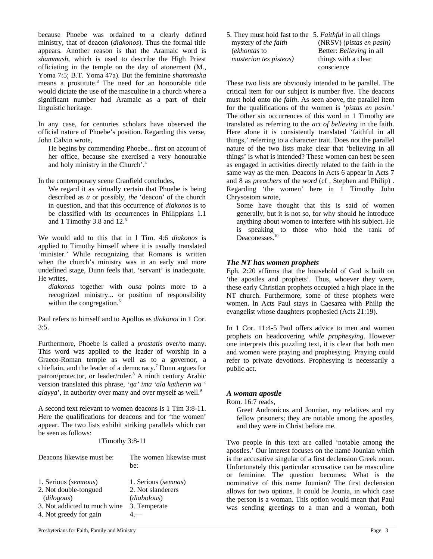because Phoebe was ordained to a clearly defined ministry, that of deacon (*diakonos*). Thus the formal title appears. Another reason is that the Aramaic word is *shammash,* which is used to describe the High Priest officiating in the temple on the day of atonement (M., Yoma 7:5; B.T. Yoma 47a). But the feminine *shammasha* means a prostitute.<sup>3</sup> The need for an honourable title would dictate the use of the masculine in a church where a significant number had Aramaic as a part of their linguistic heritage.

In any case, for centuries scholars have observed the official nature of Phoebe's position. Regarding this verse, John Calvin wrote,

He begins by commending Phoebe... first on account of her office, because she exercised a very honourable and holy ministry in the Church'.<sup>4</sup>

In the contemporary scene Cranfield concludes,

We regard it as virtually certain that Phoebe is being described as *a* or possibly, *the* 'deacon' of the church in question, and that this occurrence of *diakonos* is to be classified with its occurrences in Philippians 1.1 and 1 Timothy 3.8 and  $12<sup>5</sup>$ 

We would add to this that in l Tim. 4:6 *diakonos* is applied to Timothy himself where it is usually translated 'minister.' While recognizing that Romans is written when the church's ministry was in an early and more undefined stage, Dunn feels that, 'servant' is inadequate. He writes,

*diakonos* together with *ousa* points more to a recognized ministry... or position of responsibility within the congregation.<sup>6</sup>

Paul refers to himself and to Apollos as *diakonoi* in 1 Cor. 3:5.

Furthermore, Phoebe is called a *prostatis* over/to many. This word was applied to the leader of worship in a Graeco-Roman temple as well as to a governor, a chieftain, and the leader of a democracy.<sup>7</sup> Dunn argues for patron/protector, or leader/ruler.<sup>8</sup> A ninth century Arabic version translated this phrase, '*qa' ima 'ala katherin wa ' alayya*', in authority over many and over myself as well.<sup>9</sup>

A second text relevant to women deacons is 1 Tim 3:8-11. Here the qualifications for deacons and for 'the women' appear. The two lists exhibit striking parallels which can be seen as follows:

#### 1Timothy 3:8-11

| Deacons likewise must be:                                                                                             | The women likewise must<br>be:                                          |
|-----------------------------------------------------------------------------------------------------------------------|-------------------------------------------------------------------------|
| 1. Serious (semnous)<br>2. Not double-tongued<br>(dilogous)<br>3. Not addicted to much wine<br>4. Not greedy for gain | 1. Serious (semnas)<br>2. Not slanderers<br>(diabolous)<br>3. Temperate |

5. They must hold fast to the 5*. Faithful* in all things mystery of *the faith* (NRSV) (*pistas en pasin*)<br>(*ekhontas* to Better: *Believing* in all (*ekhontas* to Better: *Believing* in all *musterion tes pisteos*) things with a clear conscience

These two lists are obviously intended to be parallel. The critical item for our subject is number five. The deacons must hold onto *the faith*. As seen above, the parallel item for the qualifications of the women is '*pistas en pasin*.' The other six occurrences of this word in 1 Timothy are translated as referring to the *act of believing* in the faith. Here alone it is consistently translated 'faithful in all things,' referring to a character trait. Does not the parallel nature of the two lists make clear that 'believing in all things' is what is intended? These women can best be seen as engaged in activities directly related to the faith in the same way as the men. Deacons in Acts 6 appear in Acts 7 and 8 as *preachers* of the *word* (cf . Stephen and Philip) . Regarding 'the women' here in 1 Timothy John Chrysostom wrote,

Some have thought that this is said of women generally, but it is not so, for why should he introduce anything about women to interfere with his subject. He is speaking to those who hold the rank of Deaconesses.<sup>10</sup>

#### *The NT has women prophets*

Eph. 2:20 affirms that the household of God is built on 'the apostles and prophets'. Thus, whoever they were, these early Christian prophets occupied a high place in the NT church. Furthermore, some of these prophets were women. ln Acts Paul stays in Caesarea with Philip the evangelist whose daughters prophesied (Acts 21:19).

In 1 Cor. 11:4-5 Paul offers advice to men and women prophets on headcovering *while prophesying*. However one interprets this puzzling text, it is clear that both men and women were praying and prophesying. Praying could refer to private devotions. Prophesying is necessarily a public act.

#### *A woman apostle*

Rom. 16:7 reads,

Greet Andronicus and Jounian, my relatives and my fellow prisoners; they are notable among the apostles, and they were in Christ before me.

Two people in this text are called 'notable among the apostles.' Our interest focuses on the name Jounian which is the accusative singular of a first declension Greek noun. Unfortunately this particular accusative can be masculine or feminine. The question becomes: What is the nominative of this name Jounian? The first declension allows for two options. It could be Jounia, in which case the person is a woman. This option would mean that Paul was sending greetings to a man and a woman, both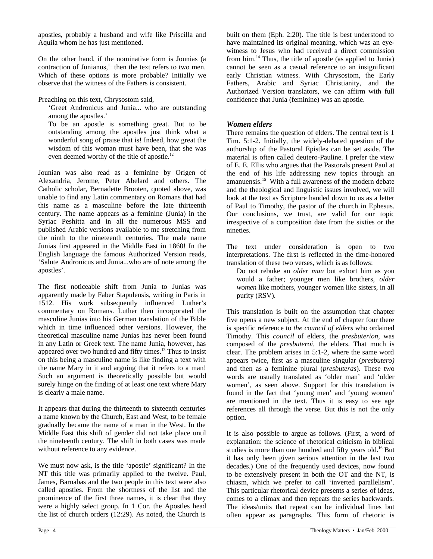apostles, probably a husband and wife like Priscilla and Aquila whom he has just mentioned.

On the other hand, if the nominative form is Jounias (a contraction of Junianus, $11$  then the text refers to two men. Which of these options is more probable? Initially we observe that the witness of the Fathers is consistent.

Preaching on this text, Chrysostom said,

'Greet Andronicus and Junia... who are outstanding among the apostles.'

To be an apostle is something great. But to be outstanding among the apostles just think what a wonderful song of praise that is! Indeed, how great the wisdom of this woman must have been, that she was even deemed worthy of the title of apostle.<sup>12</sup>

Jounian was also read as a feminine by Origen of Alexandria, Jerome, Peter Abelard and others. The Catholic scholar, Bernadette Brooten, quoted above, was unable to find any Latin commentary on Romans that had this name as a masculine before the late thirteenth century. The name appears as a feminine (Junia) in the Syriac Peshitta and in all the numerous MSS and published Arabic versions available to me stretching from the ninth to the nineteenth centuries. The male name Junias first appeared in the Middle East in 1860! In the English language the famous Authorized Version reads, 'Salute Andronicus and Junia...who are of note among the apostles'.

The first noticeable shift from Junia to Junias was apparently made by Faber Stapulensis, writing in Paris in 1512. His work subsequently influenced Luther's commentary on Romans. Luther then incorporated the masculine Junias into his German translation of the Bible which in time influenced other versions. However, the theoretical masculine name Junias has never been found in any Latin or Greek text. The name Junia, however, has appeared over two hundred and fifty times.<sup>13</sup> Thus to insist on this being a masculine name is like finding a text with the name Mary in it and arguing that it refers to a man! Such an argument is theoretically possible but would surely hinge on the finding of at least one text where Mary is clearly a male name.

It appears that during the thirteenth to sixteenth centuries a name known by the Church, East and West, to be female gradually became the name of a man in the West. In the Middle East this shift of gender did not take place until the nineteenth century. The shift in both cases was made without reference to any evidence.

We must now ask, is the title 'apostle' significant? In the NT this title was primarily applied to the twelve. Paul, James, Barnabas and the two people in this text were also called apostles. From the shortness of the list and the prominence of the first three names, it is clear that they were a highly select group. In 1 Cor. the Apostles head the list of church orders (12:29). As noted, the Church is

built on them (Eph. 2:20). The title is best understood to have maintained its original meaning, which was an eyewitness to Jesus who had received a direct commission from him.<sup>14</sup> Thus, the title of apostle (as applied to Junia) cannot be seen as a casual reference to an insignificant early Christian witness. With Chrysostom, the Early Fathers, Arabic and Syriac Christianity, and the Authorized Version translators, we can affirm with full confidence that Junia (feminine) was an apostle.

## *Women elders*

There remains the question of elders. The central text is 1 Tim. 5:1-2. Initially, the widely-debated question of the authorship of the Pastoral Epistles can be set aside. The material is often called deutero-Pauline. I prefer the view of E. E. Ellis who argues that the Pastorals present Paul at the end of his life addressing new topics through an amanuensis.<sup>15</sup> With a full awareness of the modern debate and the theological and linguistic issues involved, we will look at the text as Scripture handed down to us as a letter of Paul to Timothy, the pastor of the church in Ephesus. Our conclusions, we trust, are valid for our topic irrespective of a composition date from the sixties or the nineties.

The text under consideration is open to two interpretations. The first is reflected in the time-honored translation of these two verses, which is as follows:

Do not rebuke an *older man* but exhort him as you would a father; younger men like brothers, *older women* like mothers, younger women like sisters, in all purity (RSV).

This translation is built on the assumption that chapter five opens a new subject. At the end of chapter four there is specific reference to *the council of elders* who ordained Timothy. This *council* of elders, the *presbuterion*, was composed of the *presbuteroi*, the elders. That much is clear. The problem arises in 5:1-2, where the same word appears twice, first as a masculine singular (*presbutero)* and then as a feminine plural (*presbuteras*). These two words are usually translated as 'older man' and 'older women', as seen above. Support for this translation is found in the fact that 'young men' and 'young women' are mentioned in the text. Thus it is easy to see age references all through the verse. But this is not the only option.

It is also possible to argue as follows. (First, a word of explanation: the science of rhetorical criticism in biblical studies is more than one hundred and fifty years old.<sup>16</sup> But it has only been given serious attention in the last two decades.) One of the frequently used devices, now found to be extensively present in both the OT and the NT, is chiasm, which we prefer to call 'inverted parallelism'. This particular rhetorical device presents a series of ideas, comes to a climax and then repeats the series backwards. The ideas/units that repeat can be individual lines but often appear as paragraphs. This form of rhetoric is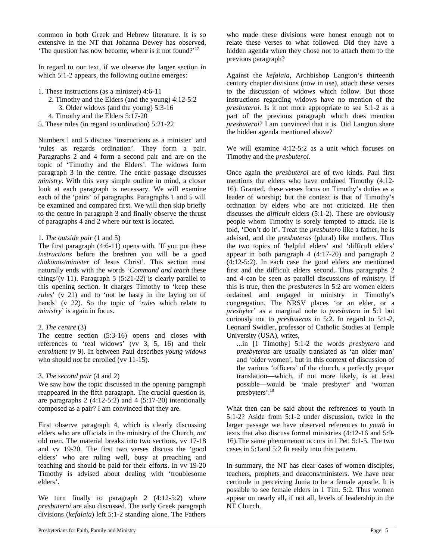common in both Greek and Hebrew literature. It is so extensive in the NT that Johanna Dewey has observed, 'The question has now become, where is it not found?'<sup>17</sup>

In regard to our text, if we observe the larger section in which 5:1-2 appears, the following outline emerges:

- 1. These instructions (as a minister) 4:6-11
	- 2. Timothy and the Elders (and the young) 4:12-5:2 3. Older widows (and the young) 5:3-16
	- 4. Timothy and the Elders 5:17-20
- 5. These rules (in regard to ordination) 5:21-22

Numbers l and 5 discuss 'instructions as a minister' and 'rules as regards ordination'. They form a pair. Paragraphs 2 and 4 form a second pair and are on the topic of 'Timothy and the Elders'. The widows form paragraph 3 in the centre. The entire passage discusses *ministry*. With this very simple outline in mind, a closer look at each paragraph is necessary. We will examine each of the 'pairs' of paragraphs. Paragraphs 1 and 5 will be examined and compared first. We will then skip briefly to the centre in paragraph 3 and finally observe the thrust of paragraphs 4 and 2 where our text is located.

#### 1. *The outside pair* (1 and 5)

The first paragraph (4:6-11) opens with, 'If you put these *instructions* before the brethren you will be a good *diakonos/minister* of Jesus Christ'. This section most naturally ends with the words '*Command and teach* these things'(v 11). Paragraph  $5$  (5:21-22) is clearly parallel to this opening section. It charges Timothy to 'keep these *rules*' (v 21) and to 'not be hasty in the laying on of hands' (v 22). So the topic of '*rules* which relate to *ministry*' is again in focus.

#### 2. *The centre* (3)

The centre section (5:3-16) opens and closes with references to 'real widows' (vv 3, 5, 16) and their *enrolment* (v 9). In between Paul describes *young widows* who should *not* be enrolled (vv 11-15).

#### 3. *The second pair* (4 and 2)

We saw how the topic discussed in the opening paragraph reappeared in the fifth paragraph. The crucial question is, are paragraphs 2  $(4:12-5:2)$  and 4  $(5:17-20)$  intentionally composed as a pair? I am convinced that they are.

First observe paragraph 4, which is clearly discussing elders who are officials in the ministry of the Church, *not* old men. The material breaks into two sections, vv 17-18 and vv 19-20. The first two verses discuss the 'good elders' who are ruling well, busy at preaching and teaching and should be paid for their efforts. In vv 19-20 Timothy is advised about dealing with 'troublesome elders'.

We turn finally to paragraph 2 (4:12-5:2) where *presbuteroi* are also discussed. The early Greek paragraph divisions (*kefalaia*) left 5:1-2 standing alone. The Fathers

who made these divisions were honest enough not to relate these verses to what followed. Did they have a hidden agenda when they chose not to attach them to the previous paragraph?

Against the *kefalaia*, Archbishop Langton's thirteenth century chapter divisions (now in use), attach these verses to the discussion of widows which follow. But those instructions regarding widows have no mention of the *presbuteroi*. Is it not more appropriate to see 5:1-2 as a part of the previous paragraph which does mention *presbuteroi*? I am convinced that it is. Did Langton share the hidden agenda mentioned above?

We will examine 4:12-5:2 as a unit which focuses on Timothy and the *presbuteroi*.

Once again the *presbuteroi* are of two kinds. Paul first mentions the elders who have ordained Timothy (4:12- 16). Granted, these verses focus on Timothy's duties as a leader of worship; but the context is that of Timothy's ordination by elders who are not criticized. He then discusses the *difficult* elders (5:1-2). These are obviously people whom Timothy is sorely tempted to attack. He is told, 'Don't do it'. Treat the *presbutero* like a father, he is advised, and the *presbuteras* (plural) like mothers. Thus the two topics of 'helpful elders' and 'difficult elders' appear in both paragraph 4 (4:17-20) and paragraph 2 (4:12-5:2). In each case the good elders are mentioned first and the difficult elders second. Thus paragraphs 2 and 4 can be seen as parallel discussions of *ministry*. If this is true, then the *presbuteras* in 5:2 are women elders ordained and engaged in ministry in Timothy's congregation. The NRSV places 'or an elder, or a *presbyter*' as a marginal note to *presbutero* in 5:1 but curiously not to *presbuteras* in 5:2. In regard to 5:1-2, Leonard Swidler, professor of Catholic Studies at Temple University (USA), writes,

...in [1 Timothy] 5:1-2 the words *presbytero* and *presbyteras* are usually translated as 'an older man' and 'older women', but in this context of discussion of the various 'officers' of the church, a perfectly proper translation—which, if not more likely, is at least possible—would be 'male presbyter' and 'woman presbyters'.<sup>18</sup>

What then can be said about the references to youth in 5:1-2? Aside from 5:1-2 under discussion, twice in the larger passage we have observed references to *youth* in texts that also discuss formal ministries (4:12-16 and 5:9- 16).The same phenomenon occurs in l Pet. 5:1-5. The two cases in 5:1and 5:2 fit easily into this pattern.

In summary, the NT has clear cases of women disciples, teachers, prophets and deacons/ministers. We have near certitude in perceiving Junia to be a female apostle. It is possible to see female elders in 1 Tim. 5:2. Thus women appear on nearly all, if not all, levels of leadership in the NT Church.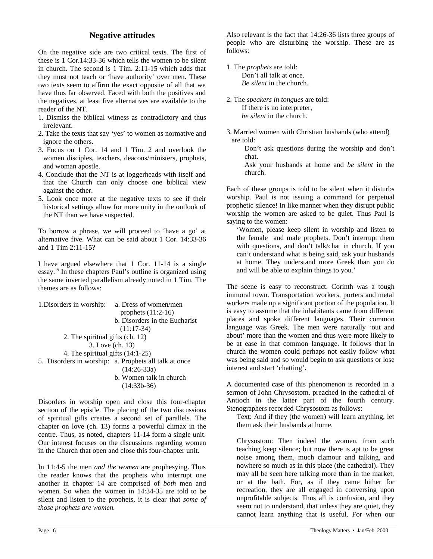# **Negative attitudes**

On the negative side are two critical texts. The first of these is 1 Cor.14:33-36 which tells the women to be silent in church. The second is 1 Tim. 2:11-15 which adds that they must not teach or 'have authority' over men. These two texts seem to affirm the exact opposite of all that we have thus far observed. Faced with both the positives and the negatives, at least five alternatives are available to the reader of the NT.

- 1. Dismiss the biblical witness as contradictory and thus irrelevant.
- 2. Take the texts that say 'yes' to women as normative and ignore the others.
- 3. Focus on 1 Cor. 14 and 1 Tim. 2 and overlook the women disciples, teachers, deacons/ministers, prophets, and woman apostle.
- 4. Conclude that the NT is at loggerheads with itself and that the Church can only choose one biblical view against the other.
- 5. Look once more at the negative texts to see if their historical settings allow for more unity in the outlook of the NT than we have suspected.

To borrow a phrase, we will proceed to 'have a go' at alternative five. What can be said about 1 Cor. 14:33-36 and 1 Tim 2:11-15?

I have argued elsewhere that 1 Cor. 11-14 is a single essay.<sup>19</sup> In these chapters Paul's outline is organized using the same inverted parallelism already noted in 1 Tim. The themes are as follows:

| 1. Disorders in worship:           | a. Dress of women/men                                 |  |
|------------------------------------|-------------------------------------------------------|--|
|                                    | prophets $(11:2-16)$                                  |  |
|                                    | b. Disorders in the Eucharist                         |  |
|                                    | $(11:17-34)$                                          |  |
| 2. The spiritual gifts (ch. 12)    |                                                       |  |
| 3. Love (ch. 13)                   |                                                       |  |
| 4. The spiritual gifts $(14:1-25)$ |                                                       |  |
|                                    | 5. Disorders in worship: a. Prophets all talk at once |  |
|                                    | $(14:26-33a)$                                         |  |
|                                    | b. Women talk in church                               |  |
|                                    | $(14:33b-36)$                                         |  |
|                                    |                                                       |  |

Disorders in worship open and close this four-chapter section of the epistle. The placing of the two discussions of spiritual gifts creates a second set of parallels. The chapter on love (ch. 13) forms a powerful climax in the centre. Thus, as noted, chapters 11-14 form a single unit. Our interest focuses on the discussions regarding women in the Church that open and close this four-chapter unit.

In 11:4-5 the men *and the women* are prophesying. Thus the reader knows that the prophets who interrupt one another in chapter 14 are comprised of *both* men and women. So when the women in 14:34-35 are told to be silent and listen to the prophets, it is clear that *some of those prophets are women.* 

Also relevant is the fact that 14:26-36 lists three groups of people who are disturbing the worship. These are as follows:

- 1. The *prophets* are told: Don't all talk at once. *Be silent* in the church.
- 2. The *speakers in tongues* are told: If there is no interpreter, *be silent* in the church.
- 3. Married women with Christian husbands (who attend) are told:

Don't ask questions during the worship and don't chat.

Ask your husbands at home and *be silent* in the church.

Each of these groups is told to be silent when it disturbs worship. Paul is not issuing a command for perpetual prophetic silence! In like manner when they disrupt public worship the women are asked to be quiet. Thus Paul is saying to the women:

'Women, please keep silent in worship and listen to the female and male prophets. Don't interrupt them with questions, and don't talk/chat in church. If you can't understand what is being said, ask your husbands at home. They understand more Greek than you do and will be able to explain things to you.'

The scene is easy to reconstruct. Corinth was a tough immoral town. Transportation workers, porters and metal workers made up a significant portion of the population. It is easy to assume that the inhabitants came from different places and spoke different languages. Their common language was Greek. The men were naturally 'out and about' more than the women and thus were more likely to be at ease in that common language. It follows that in church the women could perhaps not easily follow what was being said and so would begin to ask questions or lose interest and start 'chatting'.

A documented case of this phenomenon is recorded in a sermon of John Chrysostom, preached in the cathedral of Antioch in the latter part of the fourth century. Stenographers recorded Chrysostom as follows:

Text: And if they (the women) will learn anything, let them ask their husbands at home.

Chrysostom: Then indeed the women, from such teaching keep silence; but now there is apt to be great noise among them, much clamour and talking, and nowhere so much as in this place (the cathedral). They may all be seen here talking more than in the market, or at the bath. For, as if they came hither for recreation, they are all engaged in conversing upon unprofitable subjects. Thus all is confusion, and they seem not to understand, that unless they are quiet, they cannot learn anything that is useful. For when our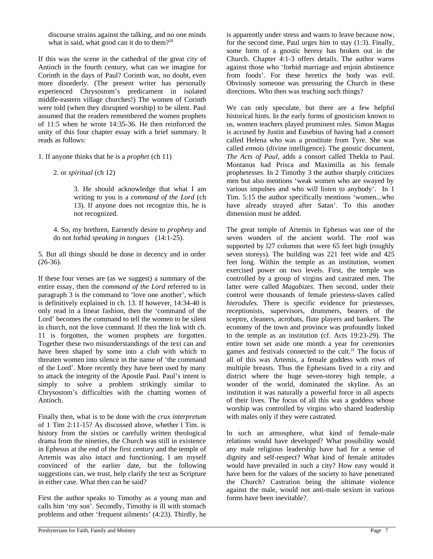discourse strains against the talking, and no one minds what is said, what good can it do to them?<sup>20</sup>

If this was the scene in the cathedral of the great city of Antioch in the fourth century, what can we imagine for Corinth in the days of Paul? Corinth was, no doubt, even more disorderly. (The present writer has personally experienced Chrysostom's predicament in isolated middle-eastern village churches!) The women of Corinth were told (when they disrupted worship) to be silent. Paul assumed that the readers remembered the women prophets of 11:5 when he wrote 14:35-36. He then reinforced the unity of this four chapter essay with a brief summary. It reads as follows:

1. If anyone thinks that he is a *prophet* (ch 11)

2. or *spiritual* (ch 12)

3. He should acknowledge that what I am writing to you is a *command of the Lord* (ch 13). If anyone does not recognize this, he is not recognized.

4. So, my brethren, Earnestly desire to *prophesy* and do not forbid *speaking in tongues* (14:1-25).

5. But all things should be done in decency and in order  $(26-36)$ .

If these four verses are (as we suggest) a summary of the entire essay, then the *command of the Lord* referred to in paragraph 3 is the command to 'love one another', which is definitively explained in ch. 13. If however, 14:34-40 is only read in a linear fashion, then the 'command of the Lord' becomes the command to tell the women to be silent in church, not the love command. If then the link with ch. 11 is forgotten, the women prophets are forgotten. Together these two misunderstandings of the text can and have been shaped by some into a club with which to threaten women into silence in the name of 'the command of the Lord'. More recently they have been used by many to attack the integrity of the Apostle Paul. Paul's intent is simply to solve a problem strikingly similar to Chrysostom's difficulties with the chatting women of Antioch.

Finally then, what is to be done with the *crux interpretum* of 1 Tim 2:11-15? As discussed above, whether l Tim. is history from the sixties or carefully written theological drama from the nineties, the Church was still in existence in Ephesus at the end of the first century and the temple of Artemis was also intact and functioning. I am myself convinced of the earlier date, but the following suggestions can, we trust, help clarify the text as Scripture in either case. What then can be said?

First the author speaks to Timothy as a young man and calls him 'my son'. Secondly, Timothy is ill with stomach problems and other 'frequent ailments' (4:23). Thirdly, he is apparently under stress and wants to leave because now, for the second time, Paul urges him to stay (1:3). Finally, some form of a gnostic heresy has broken out in the Church. Chapter 4:1-3 offers details. The author warns against those who 'forbid marriage and enjoin abstinence from foods'. For these heretics the body was evil. Obviously someone was pressuring the Church in these directions. Who then was teaching such things?

We can only speculate, but there are a few helpful historical hints. In the early forms of gnosticism known to us, women teachers played prominent roles. Simon Magus is accused by Justin and Eusebius of having had a consort called Helena who was a prostitute from Tyre. She was called *ennois* (divine intelligence). The gnostic document, *The Acts of Paul*, adds a consort called Thekla to Paul. Montanus had Prisca and Maximilla as his female prophetesses. In 2 Timothy 3 the author sharply criticizes men but also mentions 'weak women who are swayed by various impulses and who will listen to anybody'. In 1 Tim. 5:15 the author specifically mentions 'women...who have already strayed after Satan'. To this another dimension must be added.

The great temple of Artemis in Ephesus was one of the seven wonders of the ancient world. The roof was supported by 127 columns that were 65 feet high (roughly seven storeys). The building was 221 feet wide and 425 feet long. Within the temple as an institution, women exercised power on two levels. First, the temple was controlled by a group of virgins and castrated men. The latter were called *Magabizes*. Then second, under their control were thousands of female priestess-slaves called *hierodules.* There is specific evidence for priestesses, receptionists, supervisors, drummers, bearers of the sceptre, cleaners, acrobats, flute players and bankers. The economy of the town and province was profoundly linked to the temple as an institution (cf. Acts 19:23-29). The entire town set aside one month a year for ceremonies games and festivals connected to the cult. $^{21}$  The focus of all of this was Artemis, a female goddess with rows of multiple breasts. Thus the Ephesians lived in a city and district where the huge seven-storey high temple, a wonder of the world, dominated the skyline. As an institution it was naturally a powerful force in all aspects of their lives. The focus of all this was a goddess whose worship was controlled by virgins who shared leadership with males only if they were castrated.

In such an atmosphere, what kind of female-male relations would have developed? What possibility would any male religious leadership have had for a sense of dignity and self-respect? What kind of female attitudes would have prevailed in such a city? How easy would it have been for the values of the society to have penetrated the Church? Castration being the ultimate violence against the male, would not anti-male sexism in various forms have been inevitable?.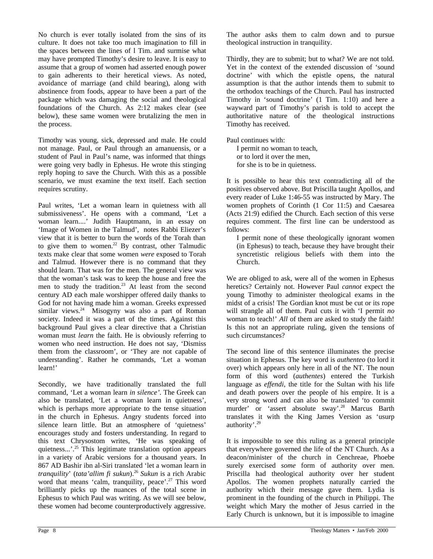No church is ever totally isolated from the sins of its culture. It does not take too much imagination to fill in the spaces between the lines of l Tim. and surmise what may have prompted Timothy's desire to leave. It is easy to assume that a group of women had asserted enough power to gain adherents to their heretical views. As noted, avoidance of marriage (and child bearing), along with abstinence from foods, appear to have been a part of the package which was damaging the social and theological foundations of the Church. As 2:12 makes clear (see below), these same women were brutalizing the men in the process.

Timothy was young, sick, depressed and male. He could not manage. Paul, or Paul through an amanuensis, or a student of Paul in Paul's name, was informed that things were going very badly in Ephesus. He wrote this stinging reply hoping to save the Church. With this as a possible scenario, we must examine the text itself. Each section requires scrutiny.

Paul writes, 'Let a woman learn in quietness with all submissiveness'. He opens with a command, 'Let a woman learn....' Judith Hauptmann, in an essay on 'Image of Women in the Talmud', notes Rabbi Eliezer's view that it is better to burn the words of the Torah than to give them to women.<sup>22</sup> By contrast, other Talmudic texts make clear that some women *were* exposed to Torah and Talmud. However there is no command that they should learn. That was for the men. The general view was that the woman's task was to keep the house and free the men to study the tradition.<sup>23</sup> At least from the second century AD each male worshipper offered daily thanks to God for not having made him a woman. Greeks expressed similar views. $24$  Misogyny was also a part of Roman society. Indeed it was a part of the times. Against this background Paul gives a clear directive that a Christian woman must *learn* the faith. He is obviously referring to women who need instruction. He does not say, 'Dismiss them from the classroom', or 'They are not capable of understanding'. Rather he commands, 'Let a woman learn!'

Secondly, we have traditionally translated the full command, 'Let a woman learn *in silence'*. The Greek can also be translated, 'Let a woman learn in quietness', which is perhaps more appropriate to the tense situation in the church in Ephesus. Angry students forced into silence learn little. But an atmosphere of 'quietness' encourages study and fosters understanding. In regard to this text Chrysostom writes, 'He was speaking of quietness...'.<sup>25</sup> This legitimate translation option appears in a variety of Arabic versions for a thousand years. In 867 AD Bashir ibn al-Siri translated 'let a woman learn in *tranquility*' (*tata'allim fi sukun*).<sup>26</sup> *Sukun* is a rich Arabic word that means 'calm, tranquility, peace'.<sup>27</sup> This word brilliantly picks up the nuances of the total scene in Ephesus to which Paul was writing. As we will see below, these women had become counterproductively aggressive.

The author asks them to calm down and to pursue theological instruction in tranquility.

Thirdly, they are to submit; but to what? We are not told. Yet in the context of the extended discussion of 'sound doctrine' with which the epistle opens, the natural assumption is that the author intends them to submit to the orthodox teachings of the Church. Paul has instructed Timothy in 'sound doctrine' (1 Tim. 1:10) and here a wayward part of Timothy's parish is told to accept the authoritative nature of the theological instructions Timothy has received.

Paul continues with:

I permit no woman to teach, or to lord it over the men, for she is to be in quietness.

It is possible to hear this text contradicting all of the positives observed above. But Priscilla taught Apollos, and every reader of Luke 1:46-55 was instructed by Mary. The women prophets of Corinth (1 Cor 11:5) and Caesarea (Acts 21:9) edified the Church. Each section of this verse requires comment. The first line can be understood as follows:

I permit none of these theologically ignorant women (in Ephesus) to teach, because they have brought their syncretistic religious beliefs with them into the Church.

We are obliged to ask, were all of the women in Ephesus heretics? Certainly not. However Paul *cannot* expect the young Timothy to administer theological exams in the midst of a crisis! The Gordian knot must be cut or its rope will strangle all of them. Paul cuts it with 'I permit *no*  woman to teach!' *All* of them are asked to study the faith! Is this not an appropriate ruling, given the tensions of such circumstances?

The second line of this sentence illuminates the precise situation in Ephesus. The key word is *authenteo* (to lord it over) which appears only here in all of the NT. The noun form of this word (*authentes*) entered the Turkish language as *effendi*, the title for the Sultan with his life and death powers over the people of his empire. It is a very strong word and can also be translated 'to commit murder' or 'assert absolute sway'.<sup>28</sup> Marcus Barth translates it with the King James Version as 'usurp authority'.<sup>29</sup>

It is impossible to see this ruling as a general principle that everywhere governed the life of the NT Church. As a deacon/minister of the church in Cenchreae, Phoebe surely exercised *some* form of authority over men. Priscilla had theological authority over her student Apollos. The women prophets naturally carried the authority which their message gave them. Lydia is prominent in the founding of the church in Philippi. The weight which Mary the mother of Jesus carried in the Early Church is unknown, but it is impossible to imagine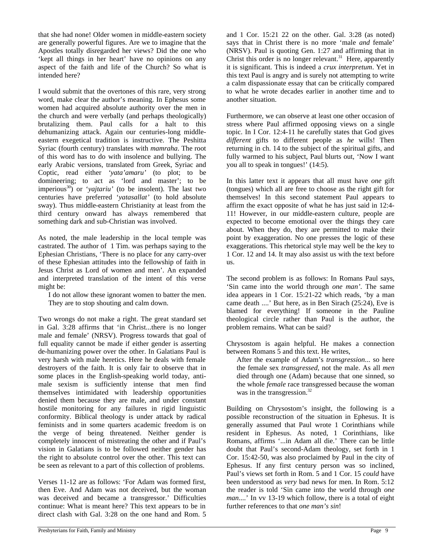that she had none! Older women in middle-eastern society are generally powerful figures. Are we to imagine that the Apostles totally disregarded her views? Did the one who 'kept all things in her heart' have no opinions on any aspect of the faith and life of the Church? So what is intended here?

I would submit that the overtones of this rare, very strong word, make clear the author's meaning. In Ephesus some women had acquired absolute authority over the men in the church and were verbally (and perhaps theologically) brutalizing them. Paul calls for a halt to this dehumanizing attack. Again our centuries-long middleeastern exegetical tradition is instructive. The Peshitta Syriac (fourth century) translates with *mamraha*. The root of this word has to do with insolence and bullying. The early Arabic versions, translated from Greek, Syriac and Coptic, read either *'yata'amaru'* (to plot; to be domineering; to act as 'lord and master'; to be imperious<sup>30</sup>) or '*yajtariu'* (to be insolent). The last two centuries have preferred '*yatasallat'* (to hold absolute sway). Thus middle-eastern Christianity at least from the third century onward has always remembered that something dark and sub-Christian was involved.

As noted, the male leadership in the local temple was castrated. The author of 1 Tim. was perhaps saying to the Ephesian Christians, 'There is no place for any carry-over of these Ephesian attitudes into the fellowship of faith in Jesus Christ as Lord of women and men'. An expanded and interpreted translation of the intent of this verse might be:

I do not allow these ignorant women to batter the men. They are to stop shouting and calm down.

Two wrongs do not make a right. The great standard set in Gal. 3:28 affirms that 'in Christ...there is no longer male and female' (NRSV). Progress towards that goal of full equality cannot be made if either gender is asserting de-humanizing power over the other. In Galatians Paul is very harsh with male heretics. Here he deals with female destroyers of the faith. It is only fair to observe that in some places in the English-speaking world today, antimale sexism is sufficiently intense that men find themselves intimidated with leadership opportunities denied them because they are male, and under constant hostile monitoring for any failures in rigid linguistic conformity. Biblical theology is under attack by radical feminists and in some quarters academic freedom is on the verge of being threatened. Neither gender is completely innocent of mistreating the other and if Paul's vision in Galatians is to be followed neither gender has the right to absolute control over the other. This text can be seen as relevant to a part of this collection of problems.

Verses 11-12 are as follows: 'For Adam was formed first, then Eve. And Adam was not deceived, but the woman was deceived and became a transgressor.' Difficulties continue: What is meant here? This text appears to be in direct clash with Gal. 3:28 on the one hand and Rom. 5

and 1 Cor. 15:21 22 on the other. Gal. 3:28 (as noted) says that in Christ there is no more 'male *and* female' (NRSV). Paul is quoting Gen. 1:27 and affirming that in Christ this order is no longer relevant.<sup>31</sup> Here, apparently it is significant. This is indeed a *crux interpretum*. Yet in this text Paul is angry and is surely not attempting to write a calm dispassionate essay that can be critically compared to what he wrote decades earlier in another time and to another situation.

Furthermore, we can observe at least one other occasion of stress where Paul affirmed opposing views on a single topic. In I Cor. 12:4-11 he carefully states that God gives *different* gifts to different people as *he* wills! Then returning in ch. 14 to the subject of the spiritual gifts, and fully warmed to his subject, Paul blurts out, 'Now I want you all to speak in tongues!' (14:5).

In this latter text it appears that all must have *one* gift (tongues) which all are free to choose as the right gift for themselves! In this second statement Paul appears to affirm the exact opposite of what he has just said in 12:4- 11! However, in our middle-eastern culture, people are expected to become emotional over the things they care about. When they do, they are permitted to make their point by exaggeration. No one presses the logic of these exaggerations. This rhetorical style may well be the key to 1 Cor. 12 and 14. It may also assist us with the text before us.

The second problem is as follows: In Romans Paul says, 'Sin came into the world through *one man'*. The same idea appears in 1 Cor. 15:21-22 which reads, 'by a man came death ....' But here, as in Ben Sirach (25:24), Eve is blamed for everything! If someone in the Pauline theological circle rather than Paul is the author, the problem remains. What can be said?

Chrysostom is again helpful. He makes a connection between Romans 5 and this text. He writes,

After the example of Adam's *transgression*... so here the female sex *transgressed,* not the male. As all *men* died through one (Adam) because that one sinned, so the whole *female* race transgressed because the woman was in the transgression.<sup>32</sup>

Building on Chrysostom's insight, the following is a possible reconstruction of the situation in Ephesus. It is generally assumed that Paul wrote 1 Corinthians while resident in Ephesus. As noted, 1 Corinthians, like Romans, affirms '...in Adam all die.' There can be little doubt that Paul's second-Adam theology, set forth in 1 Cor. 15:42-50, was also proclaimed by Paul in the city of Ephesus. If any first century person was so inclined, Paul's views set forth in Rom. 5 and 1 Cor. 15 *could* have been understood as *very* bad news for men. In Rom. 5:12 the reader is told 'Sin came into the world through *one man*....' In vv 13-19 which follow, there is a total of eight further references to that *one man's sin*!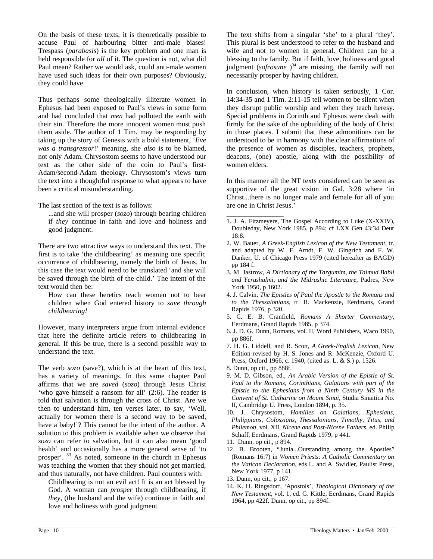On the basis of these texts, it is theoretically possible to accuse Paul of harbouring bitter anti-male biases! Trespass (*parabasis*) is the key problem and one man is held responsible for *all* of it. The question is not, what did Paul mean? Rather we would ask, could anti-male women have used such ideas for their own purposes? Obviously, they could have.

Thus perhaps some theologically illiterate women in Ephesus had been exposed to Paul's views in some form and had concluded that *men* had polluted the earth with their sin. Therefore the more innocent women must push them aside. The author of 1 Tim. may be responding by taking up the story of Genesis with a bold statement, '*Eve was a transgressor*!' meaning, she *also* is to be blamed, not only Adam. Chrysostom seems to have understood our text as the other side of the coin to Paul's first-Adam/second-Adam theology. Chrysostom's views turn the text into a thoughtful response to what appears to have been a critical misunderstanding.

The last section of the text is as follows:

...and she will prosper (*sozo*) through bearing children if *they* continue in faith and love and holiness and good judgment.

There are two attractive ways to understand this text. The first is to take 'the childbearing' as meaning one specific occurrence of childbearing, namely the birth of Jesus. In this case the text would need to be translated 'and she will be saved through the birth of the child.' The intent of the text would then be:

How can these heretics teach women not to bear children when God entered history to *save through childbearing!* 

However, many interpreters argue from internal evidence that here the definite article refers to childbearing in general. If this be true, there is a second possible way to understand the text.

The verb *sozo* (save?), which is at the heart of this text, has a variety of meanings. In this same chapter Paul affirms that we are *saved* (*sozo*) through Jesus Christ 'who gave himself a ransom for all' (2:6). The reader is told that salvation is through the cross of Christ. Are we then to understand him, ten verses later, to say, 'Well, actually for women there is a second way to be saved, have a baby!'? This cannot be the intent of the author. A solution to this problem is available when we observe that *sozo* can refer to salvation, but it can also mean 'good health' and occasionally has a more general sense of 'to prosper'. <sup>33</sup> As noted, someone in the church in Ephesus was teaching the women that they should not get married, and thus naturally, not have children. Paul counters with:

Childbearing is not an evil act! It is an act blessed by God. A woman can *prosper* through childbearing, if *they*, (the husband and the wife) continue in faith and love and holiness with good judgment.

The text shifts from a singular 'she' to a plural 'they'. This plural is best understood to refer to the husband and wife and not to women in general. Children can be a blessing to the family. But if faith, love, holiness and good judgment (*sofrosune*<sup>34</sup> are missing, the family will not necessarily prosper by having children.

In conclusion, when history is taken seriously, 1 Cor. 14:34-35 and 1 Tim. 2:11-15 tell women to be silent when they disrupt public worship and when they teach heresy. Special problems in Corinth and Ephesus were dealt with firmly for the sake of the upbuilding of the body of Christ in those places. I submit that these admonitions can be understood to be in harmony with the clear affirmations of the presence of women as disciples, teachers, prophets, deacons, (one) apostle, along with the possibility of women elders.

In this manner all the NT texts considered can be seen as supportive of the great vision in Gal. 3:28 where 'in Christ...there is no longer male and female for all of you are one in Christ Jesus.'

- $\overline{\phantom{a}}$ 1. J. A. Fitzmeyere, The Gospel According to Luke (X-XXIV), Doubleday, New York 1985, p 894; cf LXX Gen 43:34 Deut 18:8.
- 2. W. Bauer, *A Greek-English Lexicon of the New Testament*, tr. and adapted by W. F. Arndt, F. W. Gingrich and F. W. Danker, U. of Chicago Press 1979 (cited hereafter as BAGD) pp 184 f.
- 3. M. Jastrow, *A Dictionary of the Targumim, the Talmud Babli and Yerushalmi, and the Midrashic Literature,* Padres, New York 1950, p 1602.
- 4. J. Calvin, *The Epistles of Paul the Apostle to the Romans and to the Thessalonians*, tr. R. Mackenzie, Eerdmans, Grand Rapids 1976, p 320.
- 5. C. E. B. Cranfield, *Romans A Shorter Commentary*, Eerdmans, Grand Rapids 1985, p 374.
- 6. J. D. G. Dunn, Romans, vol. II, Word Publishers, Waco 1990, pp 886f.
- 7. H. G. Liddell, and R. Scott, *A Greek-English Lexicon*, New Edition revised by H. S. Jones and R. McKenzie, Oxford U. Press, Oxford 1966, c. 1940, (cited as: L. & S.) p. 1526.
- 8. Dunn, op cit., pp 888f.
- 9. M. D. Gibson, ed., *An Arabic Version of the Epistle of St. Paul to the Romans, Corinthians, Galatians with part of the Epistle to the Ephesians from a Ninth Century MS in the Convent of St. Catharine on Mount Sinai*, Studia Sinaitica No. II, Cambridge U. Press, London 1894, p. 35.
- 10. J. Chrysostom, *Homilies on Galatians, Ephesians, Philippians, Colossians, Thessalonians, Timothy, Titus, and Philemon,* vol. XII, *Nicene and Post-Nicene Fathers,* ed. Philip Schaff, Eerdmans, Grand Rapids 1979, p 441.
- 11. Dunn, op cit., p 894.
- 12. B. Brooten, "Junia...Outstanding among the Apostles" (Romans 16:7) in *Women Priests: A Catholic Commentary on the Vatican Declaration,* eds L. and A. Swidler, Paulist Press, New York 1977, p 141.
- 13. Dunn, op cit., p 167.
- 14. K. H. Ringsdorf, 'Apostols', *Theological Dictionary of the New Testament*, vol. 1, ed. G. Kittle, Eerdmans, Grand Rapids 1964, pp 422f. Dunn, op cit., pp 894f.